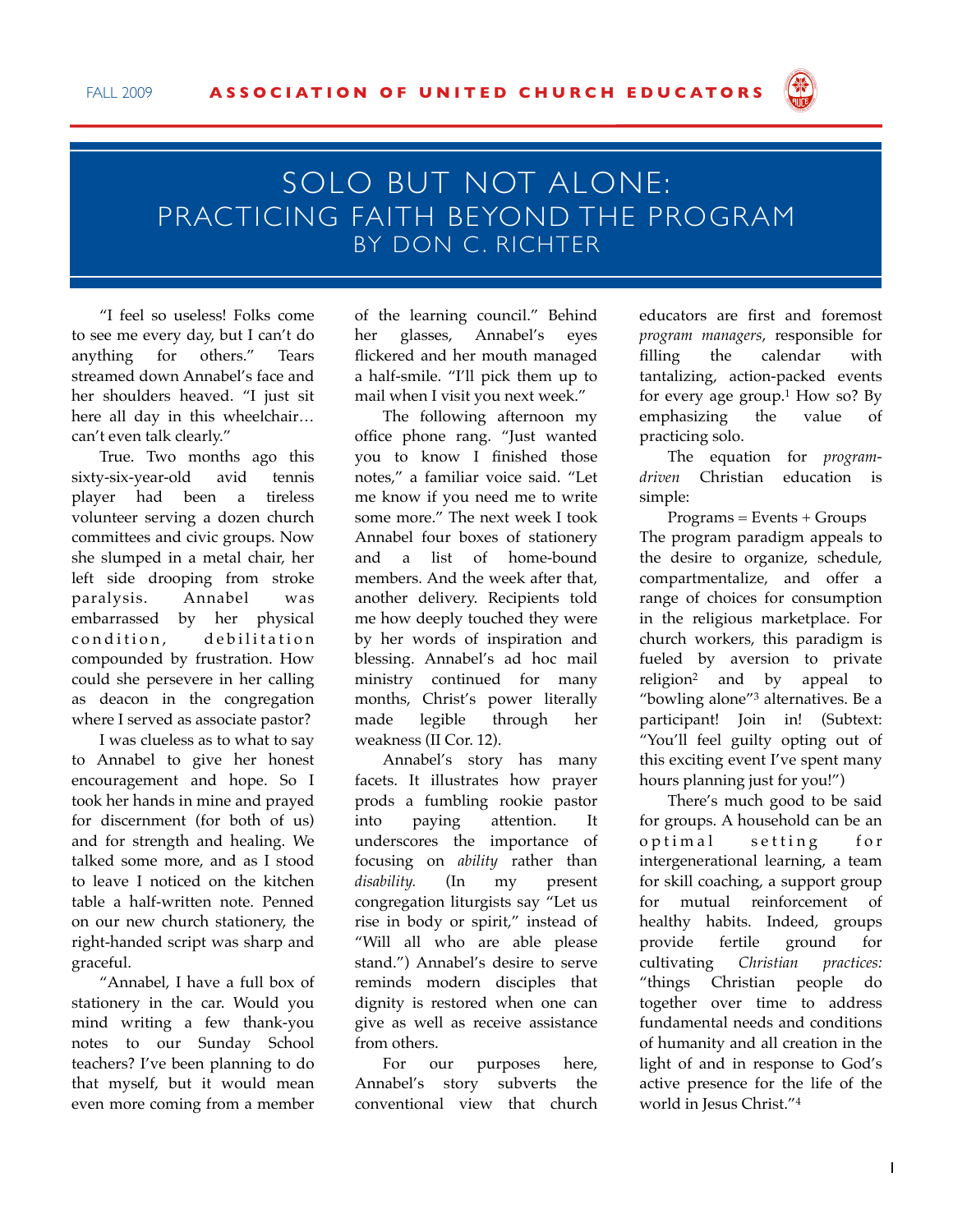

## SOLO BUT NOT ALONE: PRACTICING FAITH BEYOND THE PROGRAM BY DON C. RICHTER

"I feel so useless! Folks come to see me every day, but I can't do anything for others." Tears streamed down Annabel's face and her shoulders heaved. "I just sit here all day in this wheelchair… can't even talk clearly."

True. Two months ago this sixty-six-year-old avid tennis player had been a tireless volunteer serving a dozen church committees and civic groups. Now she slumped in a metal chair, her left side drooping from stroke paralysis. Annabel was embarrassed by her physical condition, debilitation compounded by frustration. How could she persevere in her calling as deacon in the congregation where I served as associate pastor?

I was clueless as to what to say to Annabel to give her honest encouragement and hope. So I took her hands in mine and prayed for discernment (for both of us) and for strength and healing. We talked some more, and as I stood to leave I noticed on the kitchen table a half-written note. Penned on our new church stationery, the right-handed script was sharp and graceful.

"Annabel, I have a full box of stationery in the car. Would you mind writing a few thank-you notes to our Sunday School teachers? I've been planning to do that myself, but it would mean even more coming from a member

of the learning council." Behind her glasses, Annabel's eyes flickered and her mouth managed a half-smile. "I'll pick them up to mail when I visit you next week."

The following afternoon my office phone rang. "Just wanted you to know I finished those notes," a familiar voice said. "Let me know if you need me to write some more." The next week I took Annabel four boxes of stationery and a list of home-bound members. And the week after that, another delivery. Recipients told me how deeply touched they were by her words of inspiration and blessing. Annabel's ad hoc mail ministry continued for many months, Christ's power literally made legible through her weakness (II Cor. 12).

Annabel's story has many facets. It illustrates how prayer prods a fumbling rookie pastor into paying attention. It underscores the importance of focusing on *ability* rather than *disability.* (In my present congregation liturgists say "Let us rise in body or spirit," instead of "Will all who are able please stand.") Annabel's desire to serve reminds modern disciples that dignity is restored when one can give as well as receive assistance from others.

For our purposes here, Annabel's story subverts the conventional view that church educators are first and foremost *program managers*, responsible for filling the calendar with tantalizing, action-packed events for every age group.1 How so? By emphasizing the value of practicing solo.

The equation for *programdriven* Christian education is simple:

 $Programs = Events + Groups$ The program paradigm appeals to the desire to organize, schedule, compartmentalize, and offer a range of choices for consumption in the religious marketplace. For church workers, this paradigm is fueled by aversion to private religion2 and by appeal to "bowling alone"3 alternatives. Be a participant! Join in! (Subtext: "You'll feel guilty opting out of this exciting event I've spent many hours planning just for you!")

There's much good to be said for groups. A household can be an optimal setting for intergenerational learning, a team for skill coaching, a support group for mutual reinforcement of healthy habits. Indeed, groups provide fertile ground for cultivating *Christian practices:*  "things Christian people do together over time to address fundamental needs and conditions of humanity and all creation in the light of and in response to God's active presence for the life of the world in Jesus Christ."4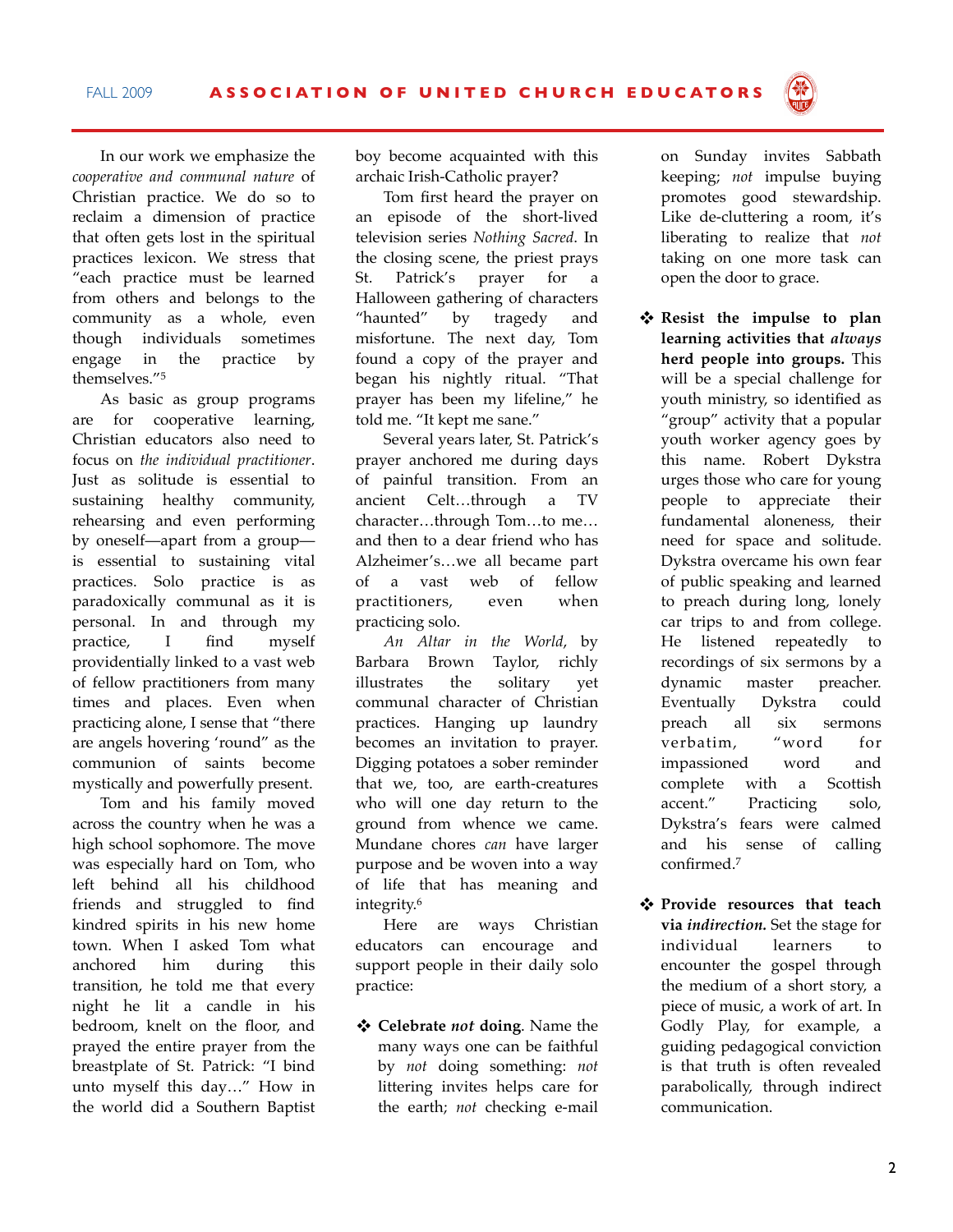In our work we emphasize the *cooperative and communal nature* of Christian practice. We do so to reclaim a dimension of practice that often gets lost in the spiritual practices lexicon. We stress that "each practice must be learned from others and belongs to the community as a whole, even though individuals sometimes engage in the practice by themselves."5

As basic as group programs are for cooperative learning, Christian educators also need to focus on *the individual practitioner*. Just as solitude is essential to sustaining healthy community, rehearsing and even performing by oneself—apart from a group is essential to sustaining vital practices. Solo practice is as paradoxically communal as it is personal. In and through my practice, I find myself providentially linked to a vast web of fellow practitioners from many times and places. Even when practicing alone, I sense that "there are angels hovering 'round" as the communion of saints become mystically and powerfully present.

Tom and his family moved across the country when he was a high school sophomore. The move was especially hard on Tom, who left behind all his childhood friends and struggled to find kindred spirits in his new home town. When I asked Tom what anchored him during this transition, he told me that every night he lit a candle in his bedroom, knelt on the floor, and prayed the entire prayer from the breastplate of St. Patrick: "I bind unto myself this day…" How in the world did a Southern Baptist

boy become acquainted with this archaic Irish-Catholic prayer?

Tom first heard the prayer on an episode of the short-lived television series *Nothing Sacred*. In the closing scene, the priest prays St. Patrick's prayer for a Halloween gathering of characters "haunted" by tragedy and misfortune. The next day, Tom found a copy of the prayer and began his nightly ritual. "That prayer has been my lifeline," he told me. "It kept me sane."

Several years later, St. Patrick's prayer anchored me during days of painful transition. From an ancient Celt…through a TV character…through Tom…to me… and then to a dear friend who has Alzheimer's…we all became part of a vast web of fellow practitioners, even when practicing solo.

*An Altar in the World*, by Barbara Brown Taylor, richly illustrates the solitary yet communal character of Christian practices. Hanging up laundry becomes an invitation to prayer. Digging potatoes a sober reminder that we, too, are earth-creatures who will one day return to the ground from whence we came. Mundane chores *can* have larger purpose and be woven into a way of life that has meaning and integrity.6

Here are ways Christian educators can encourage and support people in their daily solo practice:

 **Celebrate** *not* **doing**. Name the many ways one can be faithful by *not* doing something: *not*  littering invites helps care for the earth; *not* checking e-mail

on Sunday invites Sabbath keeping; *not* impulse buying promotes good stewardship. Like de-cluttering a room, it's liberating to realize that *not*  taking on one more task can open the door to grace.

- **Resist the impulse to plan learning activities that** *always* **herd people into groups.** This will be a special challenge for youth ministry, so identified as "group" activity that a popular youth worker agency goes by this name. Robert Dykstra urges those who care for young people to appreciate their fundamental aloneness, their need for space and solitude. Dykstra overcame his own fear of public speaking and learned to preach during long, lonely car trips to and from college. He listened repeatedly to recordings of six sermons by a dynamic master preacher. Eventually Dykstra could preach all six sermons verbatim, "word for impassioned word and complete with a Scottish accent." Practicing solo, Dykstra's fears were calmed and his sense of calling confirmed.7
- **Provide resources that teach via** *indirection.* Set the stage for individual learners to encounter the gospel through the medium of a short story, a piece of music, a work of art. In Godly Play, for example, a guiding pedagogical conviction is that truth is often revealed parabolically, through indirect communication.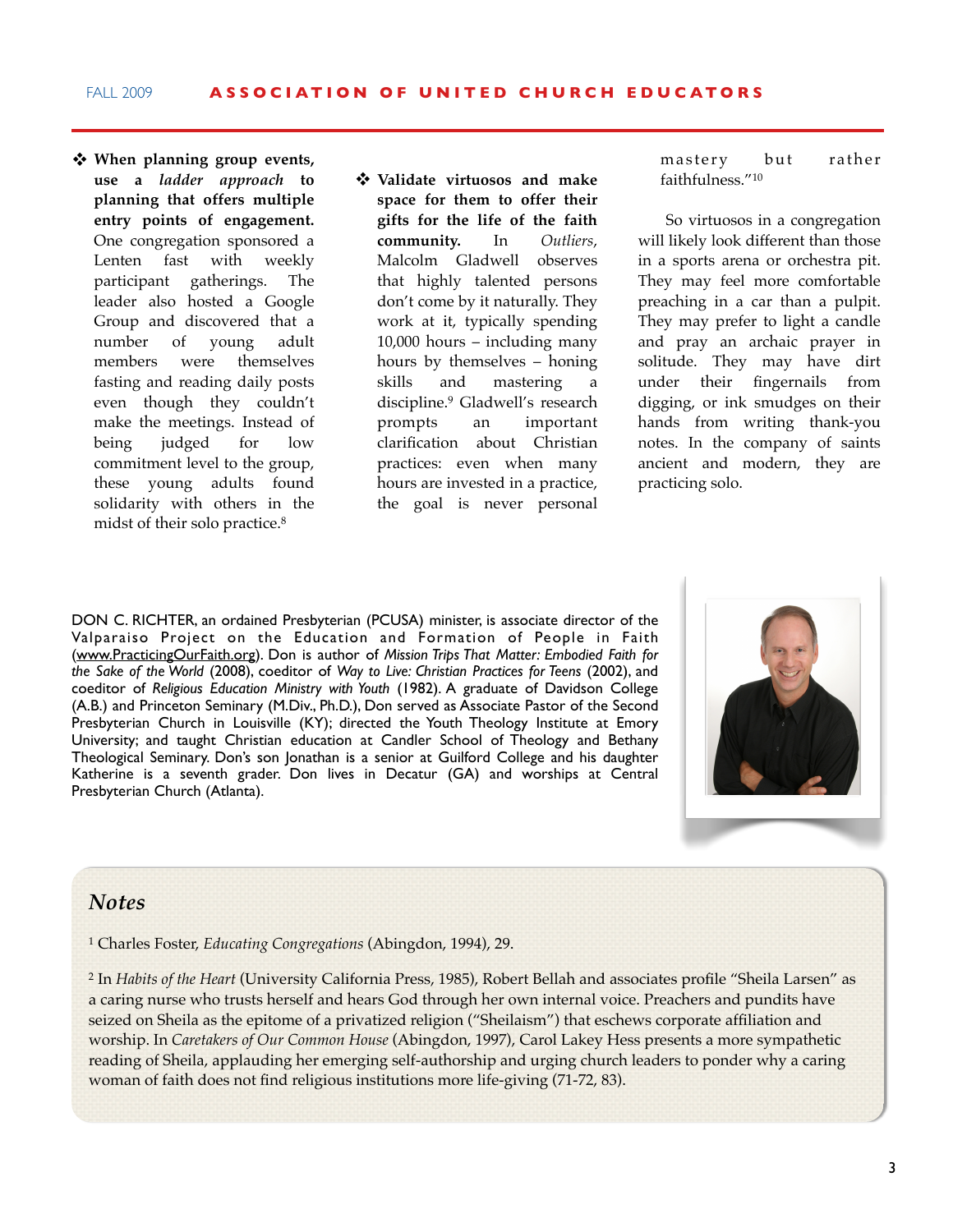- **When planning group events, use a** *ladder approach* **to planning that offers multiple entry points of engagement.** One congregation sponsored a Lenten fast with weekly participant gatherings. The leader also hosted a Google Group and discovered that a number of young adult members were themselves fasting and reading daily posts even though they couldn't make the meetings. Instead of being judged for low commitment level to the group, these young adults found solidarity with others in the midst of their solo practice.8
- **Validate virtuosos and make space for them to offer their gifts for the life of the faith community.** In *Outliers*, Malcolm Gladwell observes that highly talented persons don't come by it naturally. They work at it, typically spending 10,000 hours – including many hours by themselves – honing skills and mastering a discipline.9 Gladwell's research prompts an important clarification about Christian practices: even when many hours are invested in a practice, the goal is never personal

mastery but rather faithfulness."10

So virtuosos in a congregation will likely look different than those in a sports arena or orchestra pit. They may feel more comfortable preaching in a car than a pulpit. They may prefer to light a candle and pray an archaic prayer in solitude. They may have dirt under their fingernails from digging, or ink smudges on their hands from writing thank-you notes. In the company of saints ancient and modern, they are practicing solo.

DON C. RICHTER, an ordained Presbyterian (PCUSA) minister, is associate director of the Valparaiso Project on the Education and Formation of People in Faith [\(www.PracticingOurFaith.org\)](http://www.PracticingOurFaith.org). Don is author of *Mission Trips That Matter: Embodied Faith for the Sake of the World* (2008), coeditor of *Way to Live: Christian Practices for Teens* (2002), and coeditor of *Religious Education Ministry with Youth* (1982). A graduate of Davidson College (A.B.) and Princeton Seminary (M.Div., Ph.D.), Don served as Associate Pastor of the Second Presbyterian Church in Louisville (KY); directed the Youth Theology Institute at Emory University; and taught Christian education at Candler School of Theology and Bethany Theological Seminary. Don's son Jonathan is a senior at Guilford College and his daughter Katherine is a seventh grader. Don lives in Decatur (GA) and worships at Central Presbyterian Church (Atlanta).



## *Notes*

1 Charles Foster, *Educating Congregations* (Abingdon, 1994), 29.

2 In *Habits of the Heart* (University California Press, 1985), Robert Bellah and associates profile "Sheila Larsen" as a caring nurse who trusts herself and hears God through her own internal voice. Preachers and pundits have seized on Sheila as the epitome of a privatized religion ("Sheilaism") that eschews corporate affiliation and worship. In *Caretakers of Our Common House* (Abingdon, 1997), Carol Lakey Hess presents a more sympathetic reading of Sheila, applauding her emerging self-authorship and urging church leaders to ponder why a caring woman of faith does not find religious institutions more life-giving (71-72, 83).